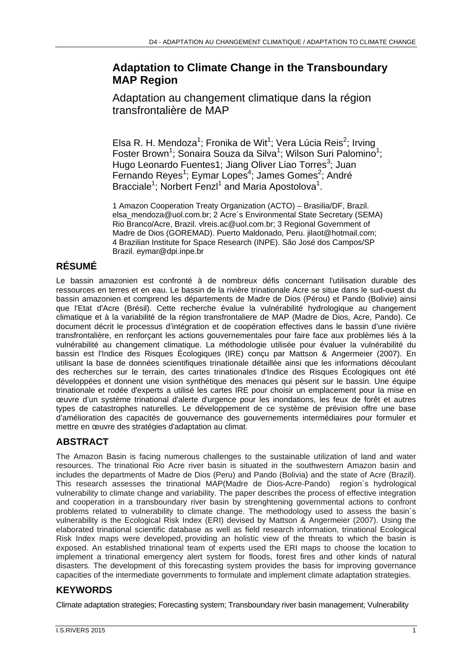## **Adaptation to Climate Change in the Transboundary MAP Region**

Adaptation au changement climatique dans la région transfrontalière de MAP

Elsa R. H. Mendoza<sup>1</sup>; Fronika de Wit<sup>1</sup>; Vera Lúcia Reis<sup>2</sup>; Irving Foster Brown<sup>1</sup>; Sonaira Souza da Silva<sup>1</sup>; Wilson Suri Palomino<sup>1</sup>; Hugo Leonardo Fuentes1; Jiang Oliver Liao Torres<sup>3</sup>; Juan Fernando Reyes<sup>1</sup>; Eymar Lopes<sup>4</sup>; James Gomes<sup>2</sup>; André Bracciale<sup>1</sup>; Norbert Fenzl<sup>1</sup> and Maria Apostolova<sup>1</sup>.

1 Amazon Cooperation Treaty Organization (ACTO) – Brasilia/DF, Brazil. elsa\_mendoza@uol.com.br; 2 Acre´s Environmental State Secretary (SEMA) Rio Branco/Acre, Brazil. vlreis.ac@uol.com.br; 3 Regional Government of Madre de Dios (GOREMAD). Puerto Maldonado, Peru. jilaot@hotmail.com; 4 Brazilian Institute for Space Research (INPE). São José dos Campos/SP Brazil. eymar@dpi.inpe.br

# **RÉSUMÉ**

Le bassin amazonien est confronté à de nombreux défis concernant l'utilisation durable des ressources en terres et en eau. Le bassin de la rivière trinationale Acre se situe dans le sud-ouest du bassin amazonien et comprend les départements de Madre de Dios (Pérou) et Pando (Bolivie) ainsi que l'Etat d'Acre (Brésil). Cette recherche évalue la vulnérabilité hydrologique au changement climatique et à la variabilité de la région transfrontaliere de MAP (Madre de Dios, Acre, Pando). Ce document décrit le processus d'intégration et de coopération effectives dans le bassin d'une rivière transfrontalière, en renforçant les actions gouvernementales pour faire face aux problèmes liés à la vulnérabilité au changement climatique. La méthodologie utilisée pour évaluer la vulnérabilité du bassin est l'Indice des Risques Écologiques (IRE) conçu par Mattson & Angermeier (2007). En utilisant la base de données scientifiques trinationale détaillée ainsi que les informations découlant des recherches sur le terrain, des cartes trinationales d'Indice des Risques Écologiques ont été développées et donnent une vision synthétique des menaces qui pèsent sur le bassin. Une équipe trinationale et rodée d'experts a utilisé les cartes IRE pour choisir un emplacement pour la mise en œuvre d'un système trinational d'alerte d'urgence pour les inondations, les feux de forêt et autres types de catastrophes naturelles. Le développement de ce système de prévision offre une base d'amélioration des capacités de gouvernance des gouvernements intermédiaires pour formuler et mettre en œuvre des stratégies d'adaptation au climat.

## **ABSTRACT**

The Amazon Basin is facing numerous challenges to the sustainable utilization of land and water resources. The trinational Rio Acre river basin is situated in the southwestern Amazon basin and includes the departments of Madre de Dios (Peru) and Pando (Bolivia) and the state of Acre (Brazil). This research assesses the trinational MAP(Madre de Dios-Acre-Pando) region´s hydrological vulnerability to climate change and variability. The paper describes the process of effective integration and cooperation in a transboundary river basin by strenghtening governmental actions to confront problems related to vulnerability to climate change. The methodology used to assess the basin's vulnerability is the Ecological Risk Index (ERI) devised by Mattson & Angermeier (2007). Using the elaborated trinational scientific database as well as field research information, trinational Ecological Risk Index maps were developed, providing an holistic view of the threats to which the basin is exposed. An established trinational team of experts used the ERI maps to choose the location to implement a trinational emergency alert system for floods, forest fires and other kinds of natural disasters. The development of this forecasting system provides the basis for improving governance capacities of the intermediate governments to formulate and implement climate adaptation strategies.

## **KEYWORDS**

Climate adaptation strategies; Forecasting system; Transboundary river basin management; Vulnerability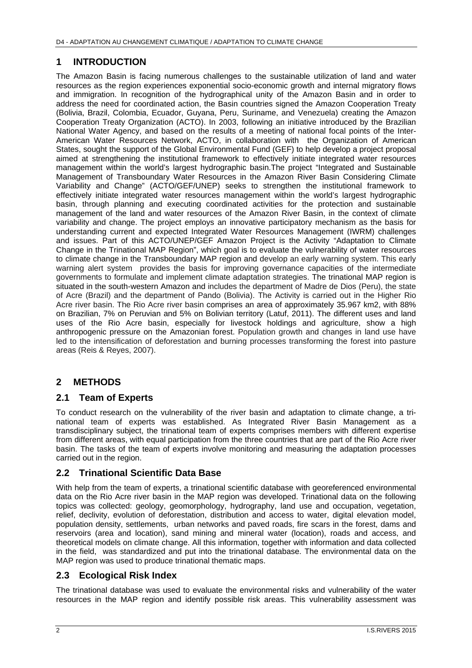### **1 INTRODUCTION**

The Amazon Basin is facing numerous challenges to the sustainable utilization of land and water resources as the region experiences exponential socio-economic growth and internal migratory flows and immigration. In recognition of the hydrographical unity of the Amazon Basin and in order to address the need for coordinated action, the Basin countries signed the Amazon Cooperation Treaty (Bolivia, Brazil, Colombia, Ecuador, Guyana, Peru, Suriname, and Venezuela) creating the Amazon Cooperation Treaty Organization (ACTO). In 2003, following an initiative introduced by the Brazilian National Water Agency, and based on the results of a meeting of national focal points of the Inter-American Water Resources Network, ACTO, in collaboration with the Organization of American States, sought the support of the Global Environmental Fund (GEF) to help develop a project proposal aimed at strengthening the institutional framework to effectively initiate integrated water resources management within the world's largest hydrographic basin.The project "Integrated and Sustainable Management of Transboundary Water Resources in the Amazon River Basin Considering Climate Variability and Change" (ACTO/GEF/UNEP) seeks to strengthen the institutional framework to effectively initiate integrated water resources management within the world's largest hydrographic basin, through planning and executing coordinated activities for the protection and sustainable management of the land and water resources of the Amazon River Basin, in the context of climate variability and change. The project employs an innovative participatory mechanism as the basis for understanding current and expected Integrated Water Resources Management (IWRM) challenges and issues. Part of this ACTO/UNEP/GEF Amazon Project is the Activity "Adaptation to Climate Change in the Trinational MAP Region", which goal is to evaluate the vulnerability of water resources to climate change in the Transboundary MAP region and develop an early warning system. This early warning alert system provides the basis for improving governance capacities of the intermediate governments to formulate and implement climate adaptation strategies. The trinational MAP region is situated in the south-western Amazon and includes the department of Madre de Dios (Peru), the state of Acre (Brazil) and the department of Pando (Bolivia). The Activity is carried out in the Higher Rio Acre river basin. The Rio Acre river basin comprises an area of approximately 35.967 km2, with 88% on Brazilian, 7% on Peruvian and 5% on Bolivian territory (Latuf, 2011). The different uses and land uses of the Rio Acre basin, especially for livestock holdings and agriculture, show a high anthropogenic pressure on the Amazonian forest. Population growth and changes in land use have led to the intensification of deforestation and burning processes transforming the forest into pasture areas (Reis & Reyes, 2007).

## **2 METHODS**

#### **2.1 Team of Experts**

To conduct research on the vulnerability of the river basin and adaptation to climate change, a trinational team of experts was established. As Integrated River Basin Management as a transdisciplinary subject, the trinational team of experts comprises members with different expertise from different areas, with equal participation from the three countries that are part of the Rio Acre river basin. The tasks of the team of experts involve monitoring and measuring the adaptation processes carried out in the region.

#### **2.2 Trinational Scientific Data Base**

With help from the team of experts, a trinational scientific database with georeferenced environmental data on the Rio Acre river basin in the MAP region was developed. Trinational data on the following topics was collected: geology, geomorphology, hydrography, land use and occupation, vegetation, relief, declivity, evolution of deforestation, distribution and access to water, digital elevation model, population density, settlements, urban networks and paved roads, fire scars in the forest, dams and reservoirs (area and location), sand mining and mineral water (location), roads and access, and theoretical models on climate change. All this information, together with information and data collected in the field, was standardized and put into the trinational database. The environmental data on the MAP region was used to produce trinational thematic maps.

#### **2.3 Ecological Risk Index**

The trinational database was used to evaluate the environmental risks and vulnerability of the water resources in the MAP region and identify possible risk areas. This vulnerability assessment was